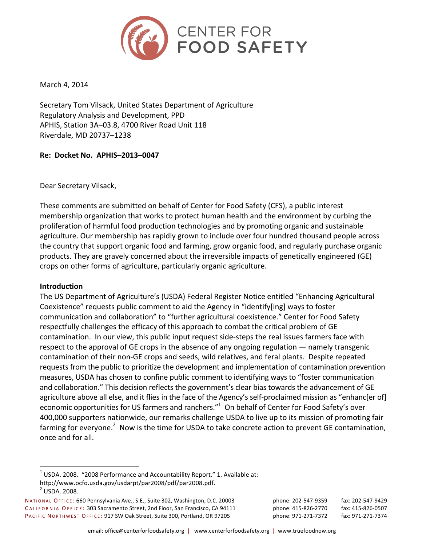

March 4, 2014

Secretary Tom Vilsack, United States Department of Agriculture Regulatory Analysis and Development, PPD APHIS, Station 3A-03.8, 4700 River Road Unit 118 Riverdale, MD 20737–1238

# **Re: Docket No. APHIS–2013–0047**

Dear Secretary Vilsack,

These comments are submitted on behalf of Center for Food Safety (CFS), a public interest membership organization that works to protect human health and the environment by curbing the proliferation of harmful food production technologies and by promoting organic and sustainable agriculture. Our membership has rapidly grown to include over four hundred thousand people across the country that support organic food and farming, grow organic food, and regularly purchase organic products. They are gravely concerned about the irreversible impacts of genetically engineered (GE) crops on other forms of agriculture, particularly organic agriculture.

## **Introduction**

The US Department of Agriculture's (USDA) Federal Register Notice entitled "Enhancing Agricultural Coexistence" requests public comment to aid the Agency in "identify[ing] ways to foster communication and collaboration" to "further agricultural coexistence." Center for Food Safety respectfully challenges the efficacy of this approach to combat the critical problem of GE contamination. In our view, this public input request side-steps the real issues farmers face with respect to the approval of GE crops in the absence of any ongoing regulation — namely transgenic contamination of their non-GE crops and seeds, wild relatives, and feral plants. Despite repeated requests from the public to prioritize the development and implementation of contamination prevention measures, USDA has chosen to confine public comment to identifying ways to "foster communication and collaboration." This decision reflects the government's clear bias towards the advancement of GE agriculture above all else, and it flies in the face of the Agency's self-proclaimed mission as "enhanc[er of] economic opportunities for US farmers and ranchers." $1$  On behalf of Center for Food Safety's over 400,000 supporters nationwide, our remarks challenge USDA to live up to its mission of promoting fair farming for everyone.<sup>2</sup> Now is the time for USDA to take concrete action to prevent GE contamination, once and for all.

 $1$  USDA. 2008. "2008 Performance and Accountability Report." 1. Available at: http://www.ocfo.usda.gov/usdarpt/par2008/pdf/par2008.pdf.  $^{2}$  USDA. 2008.

NATIONAL OFFICE: 660 Pennsylvania Ave., S.E., Suite 302, Washington, D.C. 20003 phone: 202-547-9359 fax: 202-547-9429 CALIFORNIA OFFICE: 303 Sacramento Street, 2nd Floor, San Francisco, CA 94111 phone: 415-826-2770 fax: 415-826-0507 PACIFIC NORTHWEST OFFICE: 917 SW Oak Street, Suite 300, Portland, OR 97205 phone: 971-271-7372 fax: 971-271-7374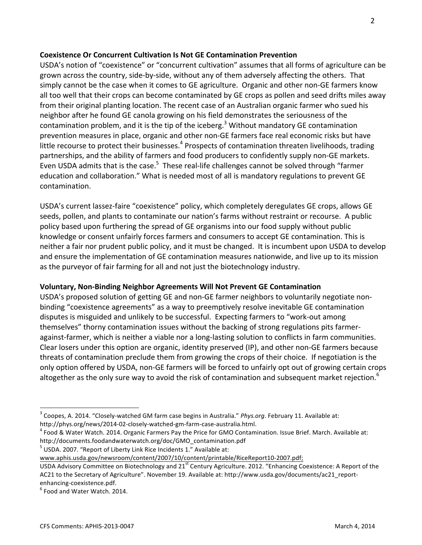### **Coexistence Or Concurrent Cultivation Is Not GE Contamination Prevention**

USDA's notion of "coexistence" or "concurrent cultivation" assumes that all forms of agriculture can be grown across the country, side-by-side, without any of them adversely affecting the others. That simply cannot be the case when it comes to GE agriculture. Organic and other non-GE farmers know all too well that their crops can become contaminated by GE crops as pollen and seed drifts miles away from their original planting location. The recent case of an Australian organic farmer who sued his neighbor after he found GE canola growing on his field demonstrates the seriousness of the contamination problem, and it is the tip of the iceberg.<sup>3</sup> Without mandatory GE contamination prevention measures in place, organic and other non-GE farmers face real economic risks but have little recourse to protect their businesses.<sup>4</sup> Prospects of contamination threaten livelihoods, trading partnerships, and the ability of farmers and food producers to confidently supply non-GE markets. Even USDA admits that is the case.<sup>5</sup> These real-life challenges cannot be solved through "farmer education and collaboration." What is needed most of all is mandatory regulations to prevent GE contamination.

USDA's current lassez-faire "coexistence" policy, which completely deregulates GE crops, allows GE seeds, pollen, and plants to contaminate our nation's farms without restraint or recourse. A public policy based upon furthering the spread of GE organisms into our food supply without public knowledge or consent unfairly forces farmers and consumers to accept GE contamination. This is neither a fair nor prudent public policy, and it must be changed. It is incumbent upon USDA to develop and ensure the implementation of GE contamination measures nationwide, and live up to its mission as the purveyor of fair farming for all and not just the biotechnology industry.

## **Voluntary, Non-Binding Neighbor Agreements Will Not Prevent GE Contamination**

USDA's proposed solution of getting GE and non-GE farmer neighbors to voluntarily negotiate nonbinding "coexistence agreements" as a way to preemptively resolve inevitable GE contamination disputes is misguided and unlikely to be successful. Expecting farmers to "work-out among themselves" thorny contamination issues without the backing of strong regulations pits farmeragainst-farmer, which is neither a viable nor a long-lasting solution to conflicts in farm communities. Clear losers under this option are organic, identity preserved (IP), and other non-GE farmers because threats of contamination preclude them from growing the crops of their choice. If negotiation is the only option offered by USDA, non-GE farmers will be forced to unfairly opt out of growing certain crops altogether as the only sure way to avoid the risk of contamination and subsequent market rejection.<sup>6</sup>

 $<sup>5</sup>$  USDA. 2007. "Report of Liberty Link Rice Incidents 1." Available at:</sup>

www.aphis.usda.gov/newsroom/content/2007/10/content/printable/RiceReport10-2007.pdf;

<sup>&</sup>lt;sup>3</sup> Coopes, A. 2014. "Closely-watched GM farm case begins in Australia." *Phys.org*. February 11. Available at: http://phys.org/news/2014-02-closely-watched-gm-farm-case-australia.html.<br><sup>4</sup> Food & Water Watch. 2014. Organic Farmers Pay the Price for GMO Contamination. Issue Brief. March. Available at:

http://documents.foodandwaterwatch.org/doc/GMO\_contamination.pdf

USDA Advisory Committee on Biotechnology and  $21^{st}$  Century Agriculture. 2012. "Enhancing Coexistence: A Report of the AC21 to the Secretary of Agriculture". November 19. Available at: http://www.usda.gov/documents/ac21\_reportenhancing-coexistence.pdf.<br><sup>6</sup> Food and Water Watch. 2014.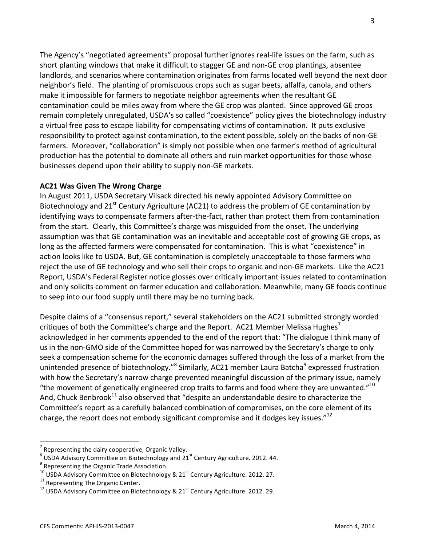The Agency's "negotiated agreements" proposal further ignores real-life issues on the farm, such as short planting windows that make it difficult to stagger GE and non-GE crop plantings, absentee landlords, and scenarios where contamination originates from farms located well beyond the next door neighbor's field. The planting of promiscuous crops such as sugar beets, alfalfa, canola, and others make it impossible for farmers to negotiate neighbor agreements when the resultant GE contamination could be miles away from where the GE crop was planted. Since approved GE crops remain completely unregulated, USDA's so called "coexistence" policy gives the biotechnology industry a virtual free pass to escape liability for compensating victims of contamination. It puts exclusive responsibility to protect against contamination, to the extent possible, solely on the backs of non-GE farmers. Moreover, "collaboration" is simply not possible when one farmer's method of agricultural production has the potential to dominate all others and ruin market opportunities for those whose businesses depend upon their ability to supply non-GE markets.

## **AC21 Was Given The Wrong Charge**

In August 2011, USDA Secretary Vilsack directed his newly appointed Advisory Committee on Biotechnology and  $21<sup>st</sup>$  Century Agriculture (AC21) to address the problem of GE contamination by identifying ways to compensate farmers after-the-fact, rather than protect them from contamination from the start. Clearly, this Committee's charge was misguided from the onset. The underlying assumption was that GE contamination was an inevitable and acceptable cost of growing GE crops, as long as the affected farmers were compensated for contamination. This is what "coexistence" in action looks like to USDA. But, GE contamination is completely unacceptable to those farmers who reject the use of GE technology and who sell their crops to organic and non-GE markets. Like the AC21 Report, USDA's Federal Register notice glosses over critically important issues related to contamination and only solicits comment on farmer education and collaboration. Meanwhile, many GE foods continue to seep into our food supply until there may be no turning back.

Despite claims of a "consensus report," several stakeholders on the AC21 submitted strongly worded critiques of both the Committee's charge and the Report. AC21 Member Melissa Hughes<sup>7</sup> acknowledged in her comments appended to the end of the report that: "The dialogue I think many of us in the non-GMO side of the Committee hoped for was narrowed by the Secretary's charge to only seek a compensation scheme for the economic damages suffered through the loss of a market from the unintended presence of biotechnology."<sup>8</sup> Similarly, AC21 member Laura Batcha<sup>9</sup> expressed frustration with how the Secretary's narrow charge prevented meaningful discussion of the primary issue, namely "the movement of genetically engineered crop traits to farms and food where they are unwanted."<sup>10</sup> And, Chuck Benbrook<sup>11</sup> also observed that "despite an understandable desire to characterize the Committee's report as a carefully balanced combination of compromises, on the core element of its charge, the report does not embody significant compromise and it dodges key issues."<sup>12</sup>

<sup>&</sup>lt;sup>7</sup> Representing the dairy cooperative, Organic Valley.<br><sup>8</sup> USDA Advisory Committee on Biotechnology and 21<sup>st</sup> Century Agriculture. 2012. 44. 9 Representing the Organic Trade Association.

<sup>&</sup>lt;sup>10</sup> USDA Advisory Committee on Biotechnology & 21<sup>st</sup> Century Agriculture. 2012. 27.<br><sup>11</sup> Representing The Organic Center.<br><sup>12</sup> USDA Advisory Committee on Biotechnology & 21<sup>st</sup> Century Agriculture. 2012. 29.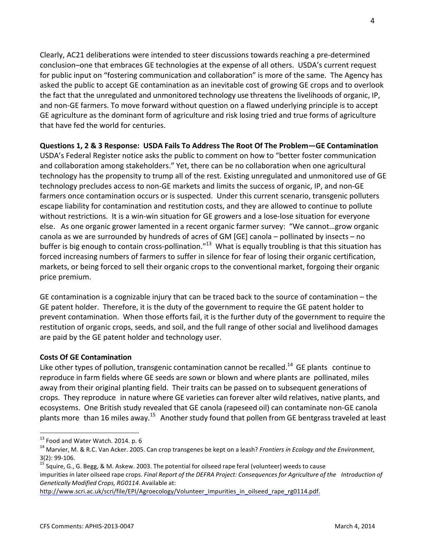Clearly, AC21 deliberations were intended to steer discussions towards reaching a pre-determined conclusion–one that embraces GE technologies at the expense of all others. USDA's current request for public input on "fostering communication and collaboration" is more of the same. The Agency has asked the public to accept GE contamination as an inevitable cost of growing GE crops and to overlook the fact that the unregulated and unmonitored technology use threatens the livelihoods of organic, IP, and non-GE farmers. To move forward without question on a flawed underlying principle is to accept GE agriculture as the dominant form of agriculture and risk losing tried and true forms of agriculture that have fed the world for centuries.

**Questions 1, 2 & 3 Response: USDA Fails To Address The Root Of The Problem—GE Contamination** 

USDA's Federal Register notice asks the public to comment on how to "better foster communication and collaboration among stakeholders." Yet, there can be no collaboration when one agricultural technology has the propensity to trump all of the rest. Existing unregulated and unmonitored use of GE technology precludes access to non-GE markets and limits the success of organic, IP, and non-GE farmers once contamination occurs or is suspected. Under this current scenario, transgenic polluters escape liability for contamination and restitution costs, and they are allowed to continue to pollute without restrictions. It is a win-win situation for GE growers and a lose-lose situation for everyone else. As one organic grower lamented in a recent organic farmer survey: "We cannot...grow organic canola as we are surrounded by hundreds of acres of GM [GE] canola – pollinated by insects – no buffer is big enough to contain cross-pollination."<sup>13</sup> What is equally troubling is that this situation has forced increasing numbers of farmers to suffer in silence for fear of losing their organic certification, markets, or being forced to sell their organic crops to the conventional market, forgoing their organic price premium.

GE contamination is a cognizable injury that can be traced back to the source of contamination  $-$  the GE patent holder. Therefore, it is the duty of the government to require the GE patent holder to prevent contamination. When those efforts fail, it is the further duty of the government to require the restitution of organic crops, seeds, and soil, and the full range of other social and livelihood damages are paid by the GE patent holder and technology user.

## **Costs Of GE Contamination**

Like other types of pollution, transgenic contamination cannot be recalled.<sup>14</sup> GE plants continue to reproduce in farm fields where GE seeds are sown or blown and where plants are pollinated, miles away from their original planting field. Their traits can be passed on to subsequent generations of crops. They reproduce in nature where GE varieties can forever alter wild relatives, native plants, and ecosystems. One British study revealed that GE canola (rapeseed oil) can contaminate non-GE canola plants more than 16 miles away.<sup>15</sup> Another study found that pollen from GE bentgrass traveled at least

<sup>&</sup>lt;sup>13</sup> Food and Water Watch. 2014. p. 6<br><sup>14</sup> Marvier, M. & R.C. Van Acker. 2005. Can crop transgenes be kept on a leash? *Frontiers in Ecology and the Environment*,

<sup>3(2): 99-106.&</sup>lt;br><sup>15</sup> Squire, G., G. Begg, & M. Askew. 2003. The potential for oilseed rape feral (volunteer) weeds to cause impurities in later oilseed rape crops. *Final Report of the DEFRA Project: Consequences for Agriculture of the Introduction of Genetically Modified Crops, RG0114*. Available at:

http://www.scri.ac.uk/scri/file/EPI/Agroecology/Volunteer impurities in oilseed rape rg0114.pdf.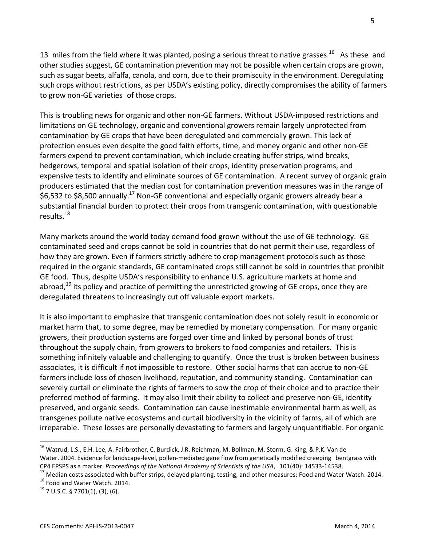13 miles from the field where it was planted, posing a serious threat to native grasses.<sup>16</sup> As these and other studies suggest, GE contamination prevention may not be possible when certain crops are grown, such as sugar beets, alfalfa, canola, and corn, due to their promiscuity in the environment. Deregulating such crops without restrictions, as per USDA's existing policy, directly compromises the ability of farmers to grow non-GE varieties of those crops.

This is troubling news for organic and other non-GE farmers. Without USDA-imposed restrictions and limitations on GE technology, organic and conventional growers remain largely unprotected from contamination by GE crops that have been deregulated and commercially grown. This lack of protection ensues even despite the good faith efforts, time, and money organic and other non-GE farmers expend to prevent contamination, which include creating buffer strips, wind breaks, hedgerows, temporal and spatial isolation of their crops, identity preservation programs, and expensive tests to identify and eliminate sources of GE contamination. A recent survey of organic grain producers estimated that the median cost for contamination prevention measures was in the range of \$6,532 to \$8,500 annually.<sup>17</sup> Non-GE conventional and especially organic growers already bear a substantial financial burden to protect their crops from transgenic contamination, with questionable results.<sup>18</sup>

Many markets around the world today demand food grown without the use of GE technology. GE contaminated seed and crops cannot be sold in countries that do not permit their use, regardless of how they are grown. Even if farmers strictly adhere to crop management protocols such as those required in the organic standards, GE contaminated crops still cannot be sold in countries that prohibit GE food. Thus, despite USDA's responsibility to enhance U.S. agriculture markets at home and abroad,  $^{19}$  its policy and practice of permitting the unrestricted growing of GE crops, once they are deregulated threatens to increasingly cut off valuable export markets.

It is also important to emphasize that transgenic contamination does not solely result in economic or market harm that, to some degree, may be remedied by monetary compensation. For many organic growers, their production systems are forged over time and linked by personal bonds of trust throughout the supply chain, from growers to brokers to food companies and retailers. This is something infinitely valuable and challenging to quantify. Once the trust is broken between business associates, it is difficult if not impossible to restore. Other social harms that can accrue to non-GE farmers include loss of chosen livelihood, reputation, and community standing. Contamination can severely curtail or eliminate the rights of farmers to sow the crop of their choice and to practice their preferred method of farming. It may also limit their ability to collect and preserve non-GE, identity preserved, and organic seeds. Contamination can cause inestimable environmental harm as well, as transgenes pollute native ecosystems and curtail biodiversity in the vicinity of farms, all of which are irreparable. These losses are personally devastating to farmers and largely unquantifiable. For organic

<sup>&</sup>lt;sup>16</sup> Watrud, L.S., E.H. Lee, A. Fairbrother, C. Burdick, J.R. Reichman, M. Bollman, M. Storm, G. King, & P.K. Van de Water. 2004. Evidence for landscape-level, pollen-mediated gene flow from genetically modified creeping bentgrass with

CP4 EPSPS as a marker. Proceedings of the National Academy of Scientists of the USA, 101(40): 14533-14538.<br><sup>17</sup> Median costs associated with buffer strips, delayed planting, testing, and other measures; Food and Water Wat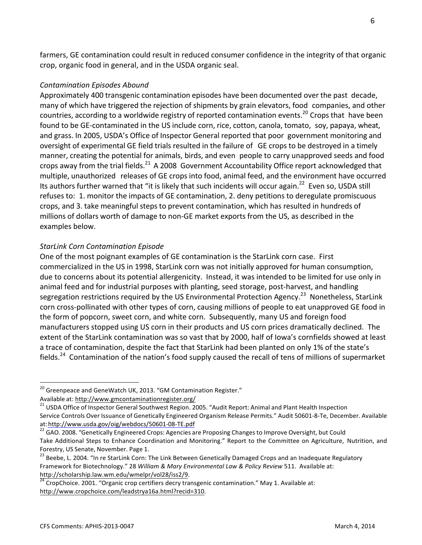farmers, GE contamination could result in reduced consumer confidence in the integrity of that organic crop, organic food in general, and in the USDA organic seal.

#### *Contamination Episodes Abound*

Approximately 400 transgenic contamination episodes have been documented over the past decade, many of which have triggered the rejection of shipments by grain elevators, food companies, and other countries, according to a worldwide registry of reported contamination events.<sup>20</sup> Crops that have been found to be GE-contaminated in the US include corn, rice, cotton, canola, tomato, soy, papaya, wheat, and grass. In 2005, USDA's Office of Inspector General reported that poor government monitoring and oversight of experimental GE field trials resulted in the failure of GE crops to be destroyed in a timely manner, creating the potential for animals, birds, and even people to carry unapproved seeds and food crops away from the trial fields.<sup>21</sup> A 2008 Government Accountability Office report acknowledged that multiple, unauthorized releases of GE crops into food, animal feed, and the environment have occurred Its authors further warned that "it is likely that such incidents will occur again.<sup>22</sup> Even so, USDA still refuses to: 1. monitor the impacts of GE contamination, 2. deny petitions to deregulate promiscuous crops, and 3. take meaningful steps to prevent contamination, which has resulted in hundreds of millions of dollars worth of damage to non-GE market exports from the US, as described in the examples below.

#### *StarLink Corn Contamination Episode*

One of the most poignant examples of GE contamination is the StarLink corn case. First commercialized in the US in 1998, StarLink corn was not initially approved for human consumption, due to concerns about its potential allergenicity. Instead, it was intended to be limited for use only in animal feed and for industrial purposes with planting, seed storage, post-harvest, and handling segregation restrictions required by the US Environmental Protection Agency.<sup>23</sup> Nonetheless, StarLink corn cross-pollinated with other types of corn, causing millions of people to eat unapproved GE food in the form of popcorn, sweet corn, and white corn. Subsequently, many US and foreign food manufacturers stopped using US corn in their products and US corn prices dramatically declined. The extent of the StarLink contamination was so vast that by 2000, half of Iowa's cornfields showed at least a trace of contamination, despite the fact that StarLink had been planted on only 1% of the state's fields.<sup>24</sup> Contamination of the nation's food supply caused the recall of tens of millions of supermarket

 $20$  Greenpeace and GeneWatch UK, 2013. "GM Contamination Register."

Available at: http://www.gmcontaminationregister.org/<br><sup>21</sup> USDA Office of Inspector General Southwest Region. 2005. "Audit Report: Animal and Plant Health Inspection Service Controls Over Issuance of Genetically Engineered Organism Release Permits." Audit 50601-8-Te, December. Available at: http://www.usda.gov/oig/webdocs/50601-08-TE.pdf<br><sup>22</sup> GAO. 2008. "Genetically Engineered Crops: Agencies are Proposing Changes to Improve Oversight, but Could

Take Additional Steps to Enhance Coordination and Monitoring." Report to the Committee on Agriculture, Nutrition, and Forestry, US Senate, November. Page 1.

<sup>&</sup>lt;sup>23</sup> Beebe, L. 2004. "In re StarLink Corn: The Link Between Genetically Damaged Crops and an Inadequate Regulatory Framework for Biotechnology." 28 *William & Mary Environmental Law & Policy Review* 511. Available at: http://scholarship.law.wm.edu/wmelpr/vol28/iss2/9.<br><sup>24</sup> CropChoice. 2001. "Organic crop certifiers decry transgenic contamination." May 1. Available at:

http://www.cropchoice.com/leadstrya16a.html?recid=310.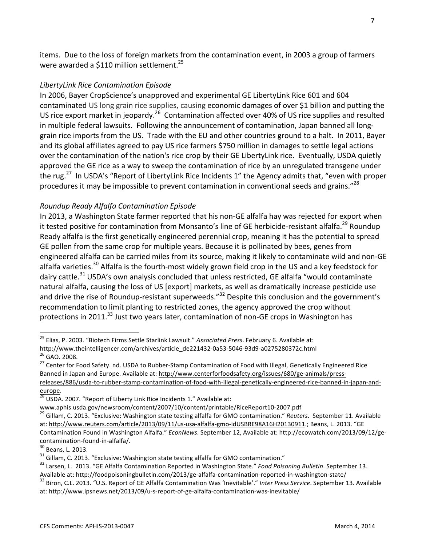items. Due to the loss of foreign markets from the contamination event, in 2003 a group of farmers were awarded a \$110 million settlement.<sup>25</sup>

#### *LibertyLink Rice Contamination Episode*

In 2006, Bayer CropScience's unapproved and experimental GE LibertyLink Rice 601 and 604 contaminated US long grain rice supplies, causing economic damages of over \$1 billion and putting the US rice export market in jeopardy.<sup>26</sup> Contamination affected over 40% of US rice supplies and resulted in multiple federal lawsuits. Following the announcement of contamination, Japan banned all longgrain rice imports from the US. Trade with the EU and other countries ground to a halt. In 2011, Bayer and its global affiliates agreed to pay US rice farmers \$750 million in damages to settle legal actions over the contamination of the nation's rice crop by their GE LibertyLink rice. Eventually, USDA quietly approved the GE rice as a way to sweep the contamination of rice by an unregulated transgene under the rug.<sup>27</sup> In USDA's "Report of LibertyLink Rice Incidents 1" the Agency admits that, "even with proper procedures it may be impossible to prevent contamination in conventional seeds and grains."<sup>28</sup>

#### *Roundup Ready Alfalfa Contamination Episode*

In 2013, a Washington State farmer reported that his non-GE alfalfa hay was rejected for export when it tested positive for contamination from Monsanto's line of GE herbicide-resistant alfalfa.<sup>29</sup> Roundup Ready alfalfa is the first genetically engineered perennial crop, meaning it has the potential to spread GE pollen from the same crop for multiple years. Because it is pollinated by bees, genes from engineered alfalfa can be carried miles from its source, making it likely to contaminate wild and non-GE alfalfa varieties.<sup>30</sup> Alfalfa is the fourth-most widely grown field crop in the US and a key feedstock for dairy cattle.<sup>31</sup> USDA's own analysis concluded that unless restricted, GE alfalfa "would contaminate natural alfalfa, causing the loss of US [export] markets, as well as dramatically increase pesticide use and drive the rise of Roundup-resistant superweeds." $32$  Despite this conclusion and the government's recommendation to limit planting to restricted zones, the agency approved the crop without protections in 2011.<sup>33</sup> Just two years later, contamination of non-GE crops in Washington has

<sup>&</sup>lt;sup>25</sup> Elias, P. 2003. "Biotech Firms Settle Starlink Lawsuit." Associated Press. February 6. Available at: http://www.theintelligencer.com/archives/article\_de221432-0a53-5046-93d9-a0275280372c.html<br><sup>26</sup> GAO. 2008.<br><sup>27</sup> Center for Food Safety. nd. USDA to Rubber-Stamp Contamination of Food with Illegal, Genetically Engineered Ri

Banned in Japan and Europe. Available at: http://www.centerforfoodsafety.org/issues/680/ge-animals/pressreleases/886/usda-to-rubber-stamp-contamination-of-food-with-illegal-genetically-engineered-rice-banned-in-japan-andeurope.<br> $\frac{28}{28}$  USDA. 2007. "Report of Liberty Link Rice Incidents 1." Available at:

www.aphis.usda.gov/newsroom/content/2007/10/content/printable/RiceReport10-2007.pdf<br><sup>29</sup> Gillam, C. 2013. "Exclusive: Washington state testing alfalfa for GMO contamination." *Reuters*. September 11. Available at: http://www.reuters.com/article/2013/09/11/us-usa-alfalfa-gmo-idUSBRE98A16H20130911.; Beans, L. 2013. "GE Contamination Found in Washington Alfalfa." *EconNews*. September 12, Available at: http://ecowatch.com/2013/09/12/ge-

contamination-found-in-alfalfa/.<br><sup>30</sup> Beans, L. 2013.<br><sup>31</sup> Gillam, C. 2013. "Exclusive: Washington state testing alfalfa for GMO contamination."<br><sup>32</sup> Larsen, L. 2013. "GE Alfalfa Contamination Reported in Washington State.

<sup>&</sup>lt;sup>33</sup> Biron, C.L. 2013. "U.S. Report of GE Alfalfa Contamination Was 'Inevitable'." Inter Press Service. September 13. Available at: http://www.ipsnews.net/2013/09/u-s-report-of-ge-alfalfa-contamination-was-inevitable/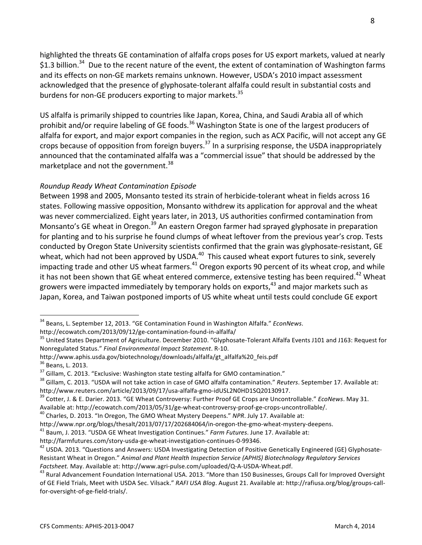highlighted the threats GE contamination of alfalfa crops poses for US export markets, valued at nearly \$1.3 billion.<sup>34</sup> Due to the recent nature of the event, the extent of contamination of Washington farms and its effects on non-GE markets remains unknown. However, USDA's 2010 impact assessment acknowledged that the presence of glyphosate-tolerant alfalfa could result in substantial costs and burdens for non-GE producers exporting to major markets.<sup>35</sup>

US alfalfa is primarily shipped to countries like Japan, Korea, China, and Saudi Arabia all of which prohibit and/or require labeling of GE foods.<sup>36</sup> Washington State is one of the largest producers of alfalfa for export, and major export companies in the region, such as ACX Pacific, will not accept any GE crops because of opposition from foreign buyers.<sup>37</sup> In a surprising response, the USDA inappropriately announced that the contaminated alfalfa was a "commercial issue" that should be addressed by the marketplace and not the government.<sup>38</sup>

# *Roundup Ready Wheat Contamination Episode*

Between 1998 and 2005, Monsanto tested its strain of herbicide-tolerant wheat in fields across 16 states. Following massive opposition, Monsanto withdrew its application for approval and the wheat was never commercialized. Eight years later, in 2013, US authorities confirmed contamination from Monsanto's GE wheat in Oregon.<sup>39</sup> An eastern Oregon farmer had sprayed glyphosate in preparation for planting and to his surprise he found clumps of wheat leftover from the previous year's crop. Tests conducted by Oregon State University scientists confirmed that the grain was glyphosate-resistant, GE wheat, which had not been approved by USDA.<sup>40</sup> This caused wheat export futures to sink, severely impacting trade and other US wheat farmers. $^{41}$  Oregon exports 90 percent of its wheat crop, and while it has not been shown that GE wheat entered commerce, extensive testing has been required.<sup>42</sup> Wheat growers were impacted immediately by temporary holds on exports, $43$  and major markets such as Japan, Korea, and Taiwan postponed imports of US white wheat until tests could conclude GE export

http://www.aphis.usda.gov/biotechnology/downloads/alfalfa/gt\_alfalfa%20\_feis.pdf

<sup>&</sup>lt;sup>34</sup> Beans, L. September 12, 2013. "GE Contamination Found in Washington Alfalfa." *EconNews*.

http://ecowatch.com/2013/09/12/ge-contamination-found-in-alfalfa/<br><sup>35</sup> United States Department of Agriculture. December 2010. "Glyphosate-Tolerant Alfalfa Events J101 and J163: Request for Nonregulated Status." *Final Environmental Impact Statement*. R-10. 

<sup>&</sup>lt;sup>36</sup> Beans, L. 2013.<br><sup>37</sup> Gillam, C. 2013. "Exclusive: Washington state testing alfalfa for GMO contamination."<br><sup>38</sup> Gillam, C. 2013. "USDA will not take action in case of GMO alfalfa contamination." *Reuters*. September 1 http://www.reuters.com/article/2013/09/17/usa-alfalfa-gmo-idUSL2N0HD1SQ20130917.<br><sup>39</sup> Cotter, J. & E. Darier. 2013. "GE Wheat Controversy: Further Proof GE Crops are Uncontrollable." *EcoNews*. May 31.

Available at: http://ecowatch.com/2013/05/31/ge-wheat-controversy-proof-ge-crops-uncontrollable/.<br><sup>40</sup> Charles, D. 2013. "In Oregon, The GMO Wheat Mystery Deepens." *NPR*. July 17. Available at:

http://www.npr.org/blogs/thesalt/2013/07/17/202684064/in-oregon-the-gmo-wheat-mystery-deepens.<br><sup>41</sup> Baum, J. 2013. "USDA GE Wheat Investigation Continues." *Farm Futures*. June 17. Available at:

http://farmfutures.com/story-usda-ge-wheat-investigation-continues-0-99346.<br><sup>42</sup> USDA. 2013. "Questions and Answers: USDA Investigating Detection of Positive Genetically Engineered (GE) Glyphosate-Resistant Wheat in Oregon." Animal and Plant Health Inspection Service (APHIS) Biotechnology Regulatory Services

*Factsheet.* May. Available at: http://www.agri-pulse.com/uploaded/Q-A-USDA-Wheat.pdf.<br><sup>43</sup> Rural Advancement Foundation International USA. 2013. "More than 150 Businesses, Groups Call for Improved Oversight of GE Field Trials, Meet with USDA Sec. Vilsack." RAFI USA Blog. August 21. Available at: http://rafiusa.org/blog/groups-callfor-oversight-of-ge-field-trials/.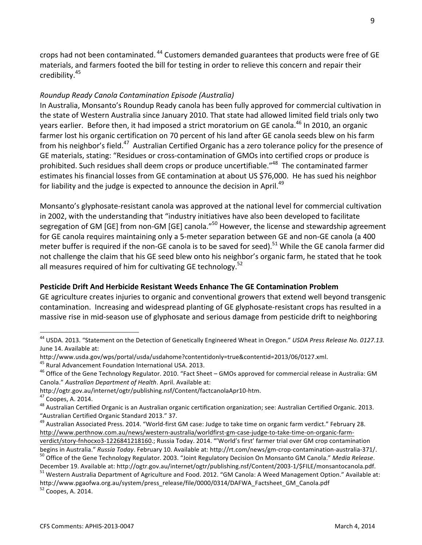crops had not been contaminated.<sup>44</sup> Customers demanded guarantees that products were free of GE materials, and farmers footed the bill for testing in order to relieve this concern and repair their credibility.<sup>45</sup>

## *Roundup Ready Canola Contamination Episode (Australia)*

In Australia, Monsanto's Roundup Ready canola has been fully approved for commercial cultivation in the state of Western Australia since January 2010. That state had allowed limited field trials only two years earlier. Before then, it had imposed a strict moratorium on GE canola.<sup>46</sup> In 2010, an organic farmer lost his organic certification on 70 percent of his land after GE canola seeds blew on his farm from his neighbor's field.<sup>47</sup> Australian Certified Organic has a zero tolerance policy for the presence of GE materials, stating: "Residues or cross-contamination of GMOs into certified crops or produce is prohibited. Such residues shall deem crops or produce uncertifiable."<sup>48</sup> The contaminated farmer estimates his financial losses from GE contamination at about US \$76,000. He has sued his neighbor for liability and the judge is expected to announce the decision in April.<sup>49</sup>

Monsanto's glyphosate-resistant canola was approved at the national level for commercial cultivation in 2002, with the understanding that "industry initiatives have also been developed to facilitate segregation of GM [GE] from non-GM [GE] canola."<sup>50</sup> However, the license and stewardship agreement for GE canola requires maintaining only a 5-meter separation between GE and non-GE canola (a 400 meter buffer is required if the non-GE canola is to be saved for seed).<sup>51</sup> While the GE canola farmer did not challenge the claim that his GE seed blew onto his neighbor's organic farm, he stated that he took all measures required of him for cultivating GE technology.<sup>52</sup>

#### **Pesticide Drift And Herbicide Resistant Weeds Enhance The GE Contamination Problem**

GE agriculture creates injuries to organic and conventional growers that extend well beyond transgenic contamination. Increasing and widespread planting of GE glyphosate-resistant crops has resulted in a massive rise in mid-season use of glyphosate and serious damage from pesticide drift to neighboring

 $52$  Coopes, A. 2014.

<sup>&</sup>lt;sup>44</sup> USDA. 2013. "Statement on the Detection of Genetically Engineered Wheat in Oregon." *USDA Press Release No. 0127.13.* June 14. Available at:

http://www.usda.gov/wps/portal/usda/usdahome?contentidonly=true&contentid=2013/06/0127.xml.

<sup>&</sup>lt;sup>45</sup> Rural Advancement Foundation International USA. 2013.<br><sup>46</sup> Office of the Gene Technology Regulator. 2010. "Fact Sheet – GMOs approved for commercial release in Australia: GM Canola." Australian Department of Health. April. Available at:

http://ogtr.gov.au/internet/ogtr/publishing.nsf/Content/factcanolaApr10-htm.<br><sup>47</sup> Coopes, A. 2014.<br><sup>48</sup> Australian Certified Organic is an Australian organic certification organization; see: Australian Certified Organic. 2 "Australian Certified Organic Standard 2013." 37.

<sup>&</sup>lt;sup>49</sup> Australian Associated Press. 2014. "World-first GM case: Judge to take time on organic farm verdict." February 28. http://www.perthnow.com.au/news/western-australia/worldfirst-gm-case-judge-to-take-time-on-organic-farmverdict/story-fnhocxo3-1226841218160.; Russia Today. 2014. "'World's first' farmer trial over GM crop contamination

begins in Australia." Russia Today. February 10. Available at: http://rt.com/news/gm-crop-contamination-australia-371/.<br><sup>50</sup> Office of the Gene Technology Regulator. 2003. "Joint Regulatory Decision On Monsanto GM Canola."

December 19. Available at: http://ogtr.gov.au/internet/ogtr/publishing.nsf/Content/2003-1/\$FILE/monsantocanola.pdf.<br><sup>51</sup> Western Australia Department of Agriculture and Food. 2012. "GM Canola: A Weed Management Option." Av

http://www.pgaofwa.org.au/system/press\_release/file/0000/0314/DAFWA\_Factsheet\_GM\_Canola.pdf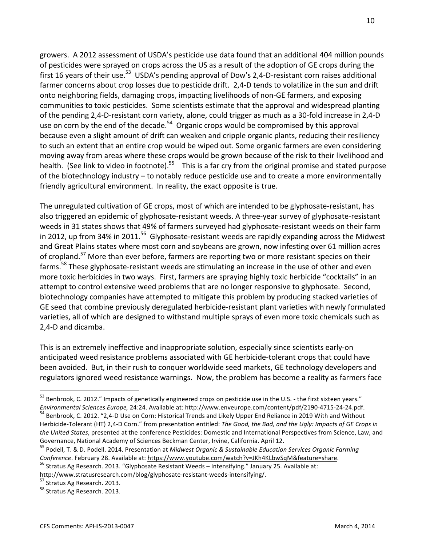growers. A 2012 assessment of USDA's pesticide use data found that an additional 404 million pounds of pesticides were sprayed on crops across the US as a result of the adoption of GE crops during the first 16 years of their use.<sup>53</sup> USDA's pending approval of Dow's 2,4-D-resistant corn raises additional farmer concerns about crop losses due to pesticide drift. 2,4-D tends to volatilize in the sun and drift onto neighboring fields, damaging crops, impacting livelihoods of non-GE farmers, and exposing communities to toxic pesticides. Some scientists estimate that the approval and widespread planting of the pending 2,4-D-resistant corn variety, alone, could trigger as much as a 30-fold increase in 2,4-D use on corn by the end of the decade.<sup>54</sup> Organic crops would be compromised by this approval because even a slight amount of drift can weaken and cripple organic plants, reducing their resiliency to such an extent that an entire crop would be wiped out. Some organic farmers are even considering moving away from areas where these crops would be grown because of the risk to their livelihood and health. (See link to video in footnote).<sup>55</sup> This is a far cry from the original promise and stated purpose of the biotechnology industry – to notably reduce pesticide use and to create a more environmentally friendly agricultural environment. In reality, the exact opposite is true.

The unregulated cultivation of GE crops, most of which are intended to be glyphosate-resistant, has also triggered an epidemic of glyphosate-resistant weeds. A three-year survey of glyphosate-resistant weeds in 31 states shows that 49% of farmers surveyed had glyphosate-resistant weeds on their farm in 2012, up from 34% in 2011.<sup>56</sup> Glyphosate-resistant weeds are rapidly expanding across the Midwest and Great Plains states where most corn and soybeans are grown, now infesting over 61 million acres of cropland.<sup>57</sup> More than ever before, farmers are reporting two or more resistant species on their farms.<sup>58</sup> These glyphosate-resistant weeds are stimulating an increase in the use of other and even more toxic herbicides in two ways. First, farmers are spraying highly toxic herbicide "cocktails" in an attempt to control extensive weed problems that are no longer responsive to glyphosate. Second, biotechnology companies have attempted to mitigate this problem by producing stacked varieties of GE seed that combine previously deregulated herbicide-resistant plant varieties with newly formulated varieties, all of which are designed to withstand multiple sprays of even more toxic chemicals such as 2.4-D and dicamba.

This is an extremely ineffective and inappropriate solution, especially since scientists early-on anticipated weed resistance problems associated with GE herbicide-tolerant crops that could have been avoided. But, in their rush to conquer worldwide seed markets, GE technology developers and regulators ignored weed resistance warnings. Now, the problem has become a reality as farmers face

<sup>53</sup> Benbrook, C. 2012." Impacts of genetically engineered crops on pesticide use in the U.S. - the first sixteen years."

Environmental Sciences Europe, 24:24. Available at: http://www.enveurope.com/content/pdf/2190-4715-24-24.pdf.<br><sup>54</sup> Benbrook, C. 2012. "2,4-D Use on Corn: Historical Trends and Likely Upper End Reliance in 2019 With and Wit Herbicide-Tolerant (HT) 2,4-D Corn." from presentation entitled: The Good, the Bad, and the Ugly: Impacts of GE Crops in the United States, presented at the conference Pesticides: Domestic and International Perspectives from Science, Law, and Governance, National Academy of Sciences Beckman Center, Irvine, California. April 12.

<sup>&</sup>lt;sup>55</sup> Podell, T. & D. Podell. 2014. Presentation at Midwest Organic & Sustainable Education Services Organic Farming *Conference*. February 28. Available at: https://www.youtube.com/watch?v=JKh4KLbwSqM&feature=share.<br><sup>56</sup> Stratus Ag Research. 2013. "Glyphosate Resistant Weeds – Intensifying." January 25. Available at:

http://www.stratusresearch.com/blog/glyphosate-resistant-weeds-intensifying/.<br><sup>57</sup> Stratus Ag Research. 2013. 58 Stratus Ag Research. 2013.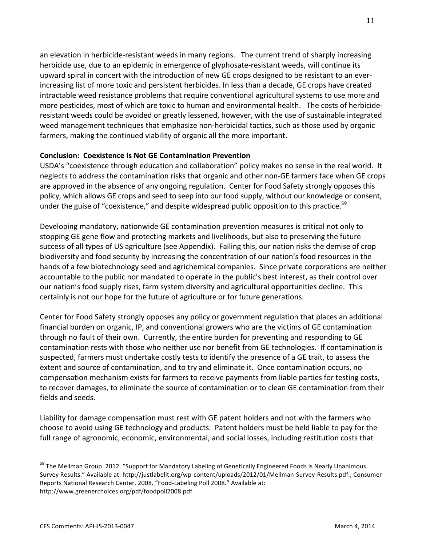an elevation in herbicide-resistant weeds in many regions. The current trend of sharply increasing herbicide use, due to an epidemic in emergence of glyphosate-resistant weeds, will continue its upward spiral in concert with the introduction of new GE crops designed to be resistant to an everincreasing list of more toxic and persistent herbicides. In less than a decade, GE crops have created intractable weed resistance problems that require conventional agricultural systems to use more and more pesticides, most of which are toxic to human and environmental health. The costs of herbicideresistant weeds could be avoided or greatly lessened, however, with the use of sustainable integrated weed management techniques that emphasize non-herbicidal tactics, such as those used by organic farmers, making the continued viability of organic all the more important.

## **Conclusion: Coexistence Is Not GE Contamination Prevention**

USDA's "coexistence through education and collaboration" policy makes no sense in the real world. It neglects to address the contamination risks that organic and other non-GE farmers face when GE crops are approved in the absence of any ongoing regulation. Center for Food Safety strongly opposes this policy, which allows GE crops and seed to seep into our food supply, without our knowledge or consent, under the guise of "coexistence," and despite widespread public opposition to this practice.<sup>59</sup>

Developing mandatory, nationwide GE contamination prevention measures is critical not only to stopping GE gene flow and protecting markets and livelihoods, but also to preserving the future success of all types of US agriculture (see Appendix). Failing this, our nation risks the demise of crop biodiversity and food security by increasing the concentration of our nation's food resources in the hands of a few biotechnology seed and agrichemical companies. Since private corporations are neither accountable to the public nor mandated to operate in the public's best interest, as their control over our nation's food supply rises, farm system diversity and agricultural opportunities decline. This certainly is not our hope for the future of agriculture or for future generations.

Center for Food Safety strongly opposes any policy or government regulation that places an additional financial burden on organic, IP, and conventional growers who are the victims of GE contamination through no fault of their own. Currently, the entire burden for preventing and responding to GE contamination rests with those who neither use nor benefit from GE technologies. If contamination is suspected, farmers must undertake costly tests to identify the presence of a GE trait, to assess the extent and source of contamination, and to try and eliminate it. Once contamination occurs, no compensation mechanism exists for farmers to receive payments from liable parties for testing costs, to recover damages, to eliminate the source of contamination or to clean GE contamination from their fields and seeds.

Liability for damage compensation must rest with GE patent holders and not with the farmers who choose to avoid using GE technology and products. Patent holders must be held liable to pay for the full range of agronomic, economic, environmental, and social losses, including restitution costs that

<sup>&</sup>lt;sup>59</sup> The Mellman Group. 2012. "Support for Mandatory Labeling of Genetically Engineered Foods is Nearly Unanimous. Survey Results." Available at: http://justlabelit.org/wp-content/uploads/2012/01/Mellman-Survey-Results.pdf.; Consumer Reports National Research Center. 2008. "Food-Labeling Poll 2008." Available at: http://www.greenerchoices.org/pdf/foodpoll2008.pdf.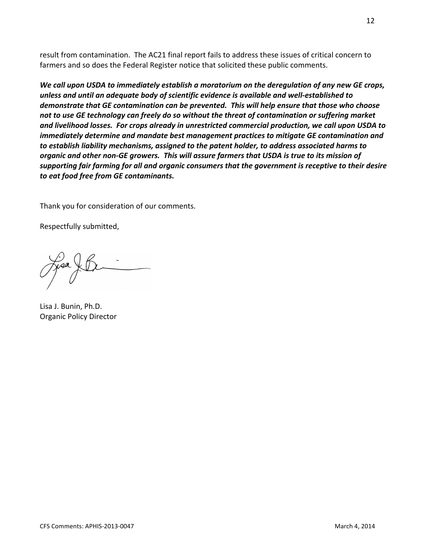result from contamination. The AC21 final report fails to address these issues of critical concern to farmers and so does the Federal Register notice that solicited these public comments.

*We call upon USDA to immediately establish a moratorium on the deregulation of any new GE crops, unless and until an adequate body of scientific evidence is available and well-established to demonstrate that GE contamination can be prevented. This will help ensure that those who choose not to use GE technology can freely do so without the threat of contamination or suffering market and livelihood losses. For crops already in unrestricted commercial production, we call upon USDA to immediately determine and mandate best management practices to mitigate GE contamination and to establish liability mechanisms, assigned to the patent holder, to address associated harms to organic and other non-GE growers. This will assure farmers that USDA is true to its mission of supporting fair farming for all and organic consumers that the government is receptive to their desire to eat food free from GE contaminants.*

Thank you for consideration of our comments.

Respectfully submitted,

Lisa J. Bunin, Ph.D. Organic Policy Director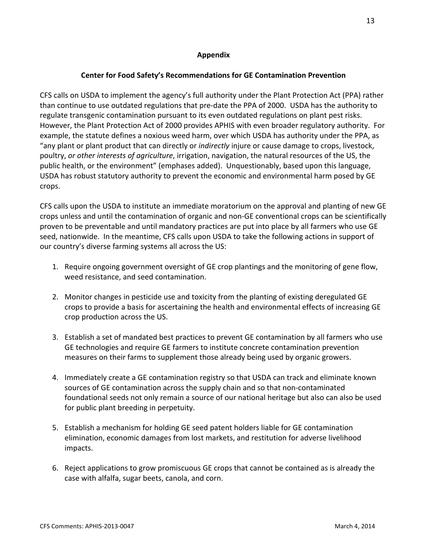# **Appendix**

# **Center for Food Safety's Recommendations for GE Contamination Prevention**

CFS calls on USDA to implement the agency's full authority under the Plant Protection Act (PPA) rather than continue to use outdated regulations that pre-date the PPA of 2000. USDA has the authority to regulate transgenic contamination pursuant to its even outdated regulations on plant pest risks. However, the Plant Protection Act of 2000 provides APHIS with even broader regulatory authority. For example, the statute defines a noxious weed harm, over which USDA has authority under the PPA, as "any plant or plant product that can directly or *indirectly* injure or cause damage to crops, livestock, poultry, *or other interests of agriculture*, irrigation, navigation, the natural resources of the US, the public health, or the environment" (emphases added). Unquestionably, based upon this language, USDA has robust statutory authority to prevent the economic and environmental harm posed by GE crops.

CFS calls upon the USDA to institute an immediate moratorium on the approval and planting of new GE crops unless and until the contamination of organic and non-GE conventional crops can be scientifically proven to be preventable and until mandatory practices are put into place by all farmers who use GE seed, nationwide. In the meantime, CFS calls upon USDA to take the following actions in support of our country's diverse farming systems all across the US:

- 1. Require ongoing government oversight of GE crop plantings and the monitoring of gene flow, weed resistance, and seed contamination.
- 2. Monitor changes in pesticide use and toxicity from the planting of existing deregulated GE crops to provide a basis for ascertaining the health and environmental effects of increasing GE crop production across the US.
- 3. Establish a set of mandated best practices to prevent GE contamination by all farmers who use GE technologies and require GE farmers to institute concrete contamination prevention measures on their farms to supplement those already being used by organic growers.
- 4. Immediately create a GE contamination registry so that USDA can track and eliminate known sources of GE contamination across the supply chain and so that non-contaminated foundational seeds not only remain a source of our national heritage but also can also be used for public plant breeding in perpetuity.
- 5. Establish a mechanism for holding GE seed patent holders liable for GE contamination elimination, economic damages from lost markets, and restitution for adverse livelihood impacts.
- 6. Reject applications to grow promiscuous GE crops that cannot be contained as is already the case with alfalfa, sugar beets, canola, and corn.